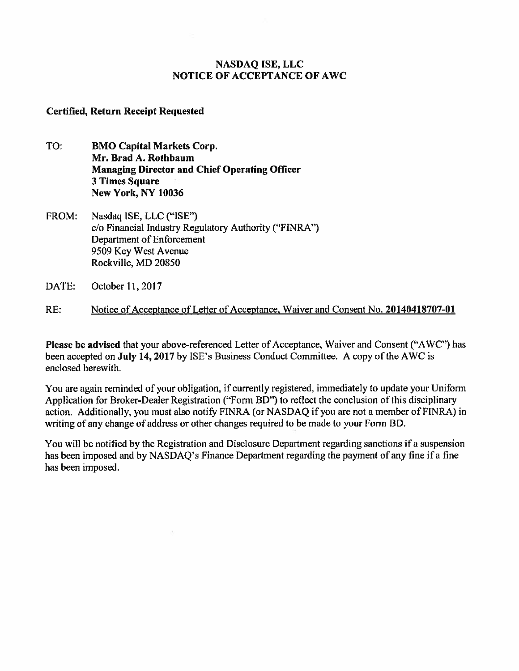# **NASDAQ ISE, LLC NOTICE OF ACCEPTANCE OF AWC**

## **Certified, Return Receipt Requested**

- TO: **BMO Capital Markets Corp. Mr. Brad A. Rothbaum Managing Director and Chief Operating Officer 3 Times Square New York, NY 10036**
- FROM: Nasdaq ISE, LLC ("ISE") c/o Financial Industry Regulatory Authority ("FINRA") Department of Enforcement 9509 Key West Avenue Rockville, MD 20850
- DATE: October 11, 2017
- RE: Notice of Acceptance of Letter of Acceptance, Waiver and Consent No. **20140418707-01**

**Please be advised** that your above-referenced Letter of Acceptance, Waiver and Consent ("AWC") has been accepted on **July 14, 2017** by ISE's Business Conduct Committee. A copy of the AWC is enclosed herewith.

You are again reminded of your obligation, if currently registered, immediately to update your Uniform Application for Broker-Dealer Registration ("Form BD") to reflect the conclusion of this disciplinary action. Additionally, you must also notify FINRA (or NASDAQ if you are not a member of FINRA) in writing of any change of address or other changes required to be made to your Form BD.

You will be notified by the Registration and Disclosure Department regarding sanctions if a suspension has been imposed and by NASDAQ's Finance Department regarding the payment of any fine if a fine has been imposed.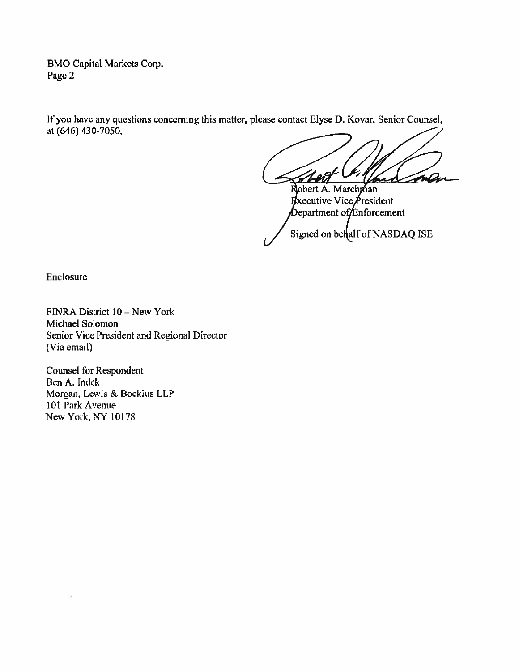**BMO Capital Markets Corp. Page 2** 

**If you have any questions concerning this matter, please contact Elyse D. Kovar, Senior Counsel, at (646) 430-7050.** 

WA اسه

**Robert A. Marchman Executive Vice President**  $\phi$  bepartment of *Enforcement* Signed on belalf of NASDAQ ISE

**Enclosure** 

**FINRA District 10 - New York Michael Solomon Senior Vice President and Regional Director (Via email)** 

**Counsel for Respondent Ben A. Indek Morgan, Lewis & Bockius LLP 101 Park Avenue New York, NY 10178**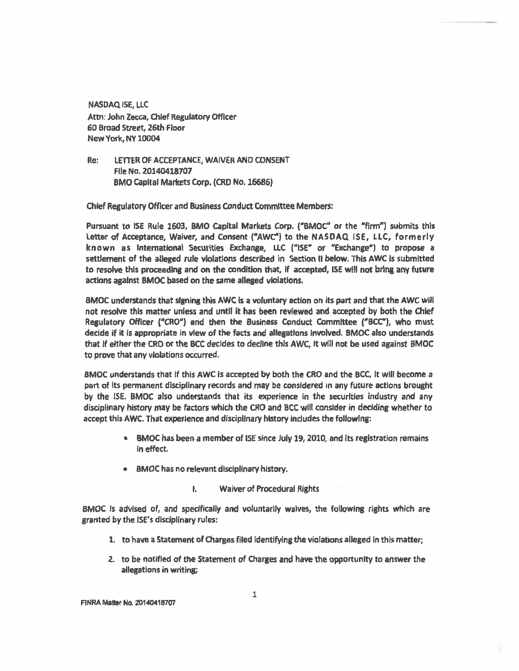**NASDAQ ISE, LLC Attn: John Zecca, Chief Regulatory Officer 60 Broad Street, 26th Floor New York, NY 10004** 

**Re: LETTER OF ACCEPTANCE, WAIVER AND CONSENT File No. 20140418707 BMO Capital Markets Corp. (CRD No. 16686)** 

**Chief Regulatory Officer and Business Conduct Committee Members:** 

**Pursuant to ISE Rule 1603, BMO Capital Markets Corp. ("BMOC' or the "firm") submits this Letter of Acceptance, Waiver, and Consent ("AWC") to the NASDAQ ISE, LLC, formerly known as International Securities Exchange, LLC ("ISE" or "Exchange") to propose a settlement of the alleged rule violations described in Section II below. This AWC is submitted to resolve this proceeding and on the condition that, if accepted, ISE will not bring any future actions against BMOC based on the same alleged violations.** 

**BMOC understands that signing this AWC is a voluntary action on its part and that the AWC will not resolve this matter unless and until it has been reviewed and accepted by both the Chief Regulatory Officer ("CRO") and then the Business Conduct Committee ("BCC"), who must decide if it is appropriate in view of the facts and allegations involved. BMOC also understands that if either the CRO or the BCC decides to decline this AWC, it will not be used against BMOC to prove that any violations occurred.** 

**BMOC understands that if this AWC is accepted by both the CRO and the BCC, it will become a part of its permanent disciplinary records and may be considered in any future actions brought by the ISE. BMOC also understands that its experience in the securities industry and any disciplinary history may be factors which the CRO and BCC will consider in deciding whether to accept this AWC. That experience and disciplinary history includes the following:** 

- **BMOC has been a member of ISE since July 19, 2010, and its registration remains in effect.**
- **BMOC has no relevant disciplinary history.** 
	- I. **Waiver of P**►**ocedural Rights**

**BMOC is advised of, and specifically and voluntarily waives, the following rights which are granted by the ISE's disciplinary rules:** 

- **1. to have a Statement of Charges filed identifying the violations alleged in this matter;**
- **2. to be notified of the Statement of Charges and have the opportunity to answer the allegations in writing;**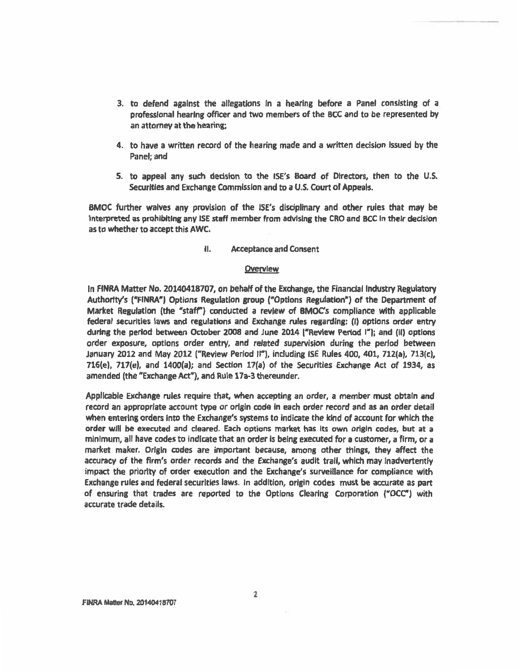- **3. to defend against the allegations in a hearing before a Panel consisting of a professional hearing officer and two members of the BCC and to be represented by an attorney at the hearing;**
- **4. to have a written record of the hearing made and a written decision issued by the Panel; and**
- **5. to appeal any such decision to the ISE's Board of Directors, then to the U.S. Securities and Exchange Commission and to a U.S. Court of Appeals.**

**BMOC further waives any provision of the ISE's disciplinary and other rules that may be Interpreted as prohibiting any ISE staff member from advising the CRO and BCC in their decision as to whether to accept this AWC.** 

### ii, **Acceptance and Consent**

### **Overview**

In **FINRA Matter No. 20140418707, on behalf of the Exchange, the Financial Industry Regulatory Authority's ("FINRA") Options Regulation group ("Options Regulation") of the Department of Market Regulation (the "staff") conducted a review of BMOC's compliance with applicable federal securities laws and regulations and Exchange rules regarding: (I) options order entry during the period between October 2008 and June 2014 ("Review Period I"); and** (H) **options order exposure, options order entry, and related supervision during the period between January 2012 and May 2012 ("Review Period II"), including ISE Rules 400, 401, 712(a), 713(c), 716(e), 717(e), and 1400(a); and Section 17(a) of the Securities Exchange Act of 1934, as amended (the "Exchange Act"), and Rule 17a-3 thereunder.** 

**Applicable Exchange rules require that, when accepting an order, a member must obtain and record an appropriate account type or origin code in each order record and as an order detail when entering orders into the Exchange's systems to indicate the kind of account for which the order will be executed and cleared. Each options market has its own origin codes, but at a minimum, all have codes to indicate that an order is being executed for a customer, a firm, or a market maker. Origin codes are important because, among other things, they affect the accuracy of the firm's order records and the Exchange's audit trail, which may inadvertently impact the priority of order execution and the Exchange's surveillance for compliance with Exchange rules and federal securities laws. In addition, origin codes must be accurate as part of ensuring that trades are reported to the Options Clearing Corporation ("OCC') with accurate trade details.**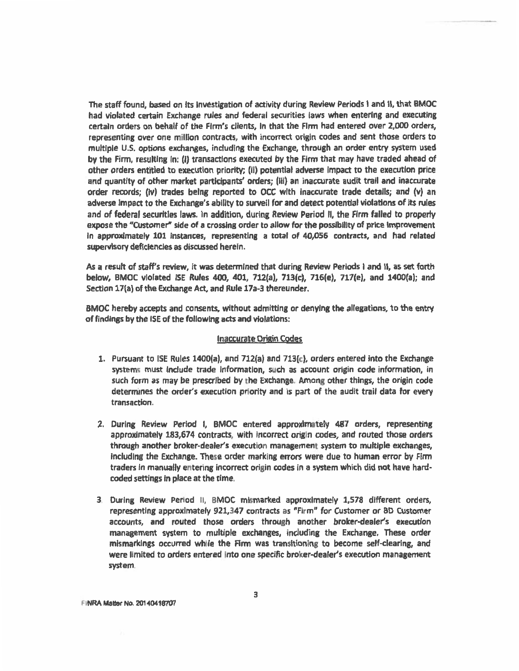**The staff found, based on its Investigation of activity during Review Periods I and II, that BMOC had violated certain Exchange rules and federal securities laws when entering and executing certain orders on behalf of the Firm's clients, in that the Firm had entered over 2,000 orders, representing over one million contracts, with incorrect origin codes and sent those orders to multiple U.S. options exchanges, including the Exchange, through an order entry system used by the Firm, resulting in; (1) transactions executed by the Firm that may have traded ahead of other orders entitled to execution priority; (ii) potential adverse impact to the execution price and quantity of other market participants' orders; (iii) an inaccurate audit trail and inaccurate order records; (Iv) trades being reported to OCC with inaccurate trade details; and (v) an adverse Impact to the Exchange's ability to surveil for and detect potential violations of Its rules and of federal securities laws. In addition, during Review Period H, the Firm failed to property expose the "Customer" side of a crossing order to allow for the possibility of price improvement In approximately 101 instances, representing a total of 40,056 contracts, and had related supervisory deficiencies as discussed herein.** 

**As a result of staff's review, it was determined that during Review Periods I and II, as set forth below, BMOC violated ISE Rules 400, 401, 712(a), 713(c), 716(e), 717(e), and 1400(a); and Section 17(a) of the Exchange Act, and Rule 17a-3 thereunder.** 

**BMOC hereby accepts and consents, without admitting or denying the allegations, to the entry of findings by the ISE of the following acts and violations:** 

#### **Inaccurate Origin Codes**

- **1. Pursuant to ISE Rules 1400(a), and 712(a) and 713(c), orders entered into the Exchange system,: must include trade information, such as account origin code information, in such form as may be prescribed by the Exchange Among other things, the origin code determines the order's execution priority and is part of the audit trail data for every transaction.**
- **2. During Review Period I, BMOC entered approximately 487 orders, representing**  approximately 183,674 contracts, with incorrect origin codes, and routed those orders **through another broker-dealer's execution management system to multiple exchanges, including the Exchange. These order marking errors were due to human error by Firm traders** In **manually entering incorrect origin codes in a system which did not have hardcoded settings in place at the time-**
- **3 During Review Period II, BMOC mismarked approximately 1,578 different orders, representing approximately 921,347 contracts as "Firm" for Customer or BD Customer accounts, and routed those orders through another broker•dealer's execution management system to multiple exchanges, including the Exchange. These order mismarkings occurred while the Firm was transitioning to become self-clearing, and were limited to orders entered into one specific broker-dealer's execution management system**

**FINRA Matter No. 20140418707**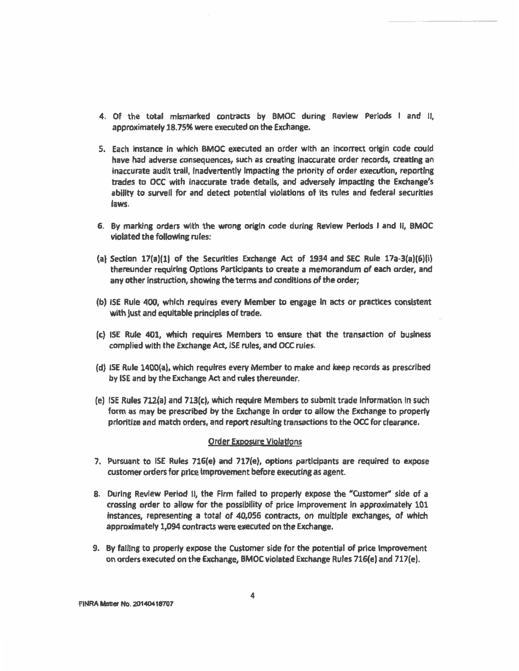- **4. Of the total mismarked contracts by BMOC during Review Periods I and 11, approximately 18.75% were executed on the Exchange.**
- **5. Each instance in which BMOC executed an order with an incorrect origin code could have had adverse consequences, such as creating inaccurate order records, creating an inaccurate audit trail, inadvertently impacting the priority of order execution, reporting trades to OCC with inaccurate trade details, and adversely impacting the Exchange's ability to surveil for and detect potential violations of its rules and federal securities laws.**
- **6. By marking orders with the wrong origin code during Review Periods I and Ii, BMOC violated the following rules:**
- **(a) Section 17(a)(1) of the Securities Exchange Act of 1934 and SEC Rule 17a-3(a)(6)(i) thereunder requiring Options Participants to create a memorandum of each order, and any other instruction, showing the terms and conditions of the order;**
- **(b) ISE Rule 400, which requires every Member to engage In acts or practices consistent with Just and equitable principles of trade.**
- **(c) ISE Rule 401, which requires Members to ensure that the transaction of business complied with the Exchange Act, ISE rules, and OCC rules.**
- **(d) ISE Rule 1400(a), which requires every Member to make and keep records as prescribed by 15E and by the Exchange Act and rules thereunder.**
- **(e) I5E Rules 712(a) and 713(c), which require Members to submit trade information in such form as may be prescribed by the Exchange in order to allow the Exchange to properly prioritize and match orders, and report resulting transactions to the OCC for clearance.**

### **order Exposure Violations**

- **7. Pursuant to ISE Rules 716(e) and 717(e), options participants are required to expose customer orders for price improvement before executing as agent.**
- **8. During Review Period 11, the Firm failed to properly expose the "Customer" side of a crossing order to allow for the possibility of price improvement In approximately 101 instances, representing a total of 40,056 contracts, on multiple exchanges, of which approximately 1,094 contracts were executed on the Exchange.**
- **9. By falling to properly expose the Customer side for the potential of price improvement on orders executed on the Exchange, BMOC violated Exchange Rules 716(e) and 717(e).**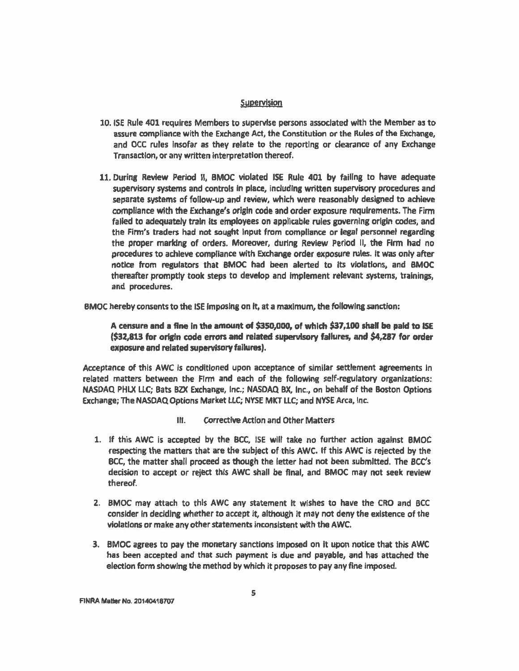### **Supervision**

- 10. ISE Rule 401 requires Members to supervise persons associated with the Member as to assure compliance with the Exchange Act, the Constitution or the Rules of the Exchange, and OCC rules Insofar as they relate to the reporting or clearance of any Exchange Transaction, or any written interpretation thereof.
- 11. During Review Period II, BMOC violated ISE Rule 401 by failing to have adequate supervisory systems and controls in place, including written supervisory procedures and separate systems of follow-up and review, which were reasonably designed to achieve compliance with the Exchange's origin code and order exposure requirements. The Firm failed to adequately train its employees on applicable rules governing origin codes, and the Firm's traders had not sought input from compliance or legal personnel regarding the proper marking of orders. Moreover, during Review Period II, the Firm had no procedures to achieve compliance with Exchange order exposure rules. It was only after notice from regulators that BMOC had *been* alerted to Its violations, and BMOC thereafter promptly took steps to develop and implement relevant systems, trainings, and procedures.
- BMOC hereby consents to the ISE imposing on it, at a maximum, the following sanction:

**A censure and a fine in the amount of \$350,000, of which \$37,100 shall be paid to ISE (\$3Z813 for origin code errors and related supervisory failures, and \$4,287 for order exposure and related supervisory failures).** 

Acceptance of this AWC is conditioned upon acceptance of similar settlement agreements in related matters *between* the Firm and each of the following self-regulatory organizations: NASDAQ PHLX LLC; Bats BZX Exchange, Inc.; NASDAQ BX, Inc., on behalf of the Boston Options Exchange; The NASDAQ Options Market LLC; NYSE MKT LLC; and NYSE Arca, Inc.

- Ill. Corrective Action and Other Matters
- 1. If this AWC is accepted by the BCC, ISE wilt take no further action against BMOC respecting the matters that are the subject of this AWC. If this AWC is rejected by the BCC, the matter shall proceed as though the letter had not been submitted. **The** BCC's decision to accept or **reject** this AWC shall be final, and BMOC may not seek review thereof.
- 2. BMOC may attach to this AWC any statement it wishes to have the CRO and BCC consider in deciding whether to accept It, although it may not deny the existence of the violations or make any other statements inconsistent with the AWC.
- **3. BMOC agrees to pay the monetary sanctions imposed** on it upon notice that this AWC has been accepted and that such payment is due and payable, and has attached the election form showing *the* method by which it proposes to pay any fine imposed.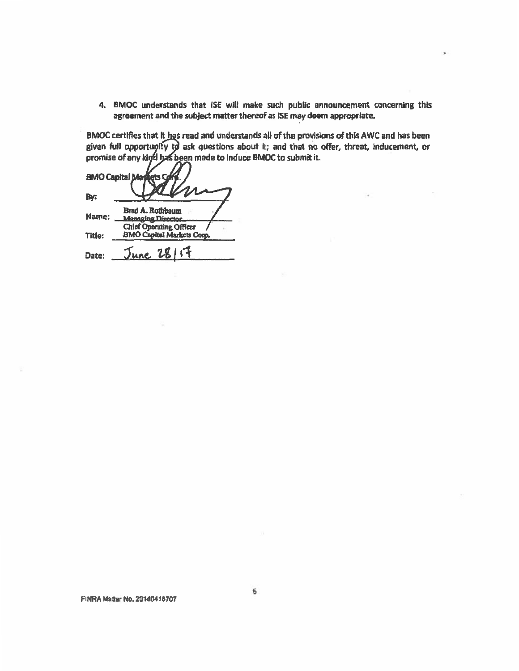**4. BMOC understands that ISE wilt make such public announcement concerning this agreement and the subject matter thereof as ISE may deem appropriate.** 

BMOC certifies that it has read and understands all of the provisions of this AWC and has been given full opportugity to ask questions about **It; and that no offer, threat, inducement**, or promise of any kind has been made to induce BMOC to submit it.

**BMO Capital Ma** fets G By: Brad A. Rothbaum **Name: Chief Operating Officer Title: BMO Capital Markets Corp, lane, 74J 14 Date:**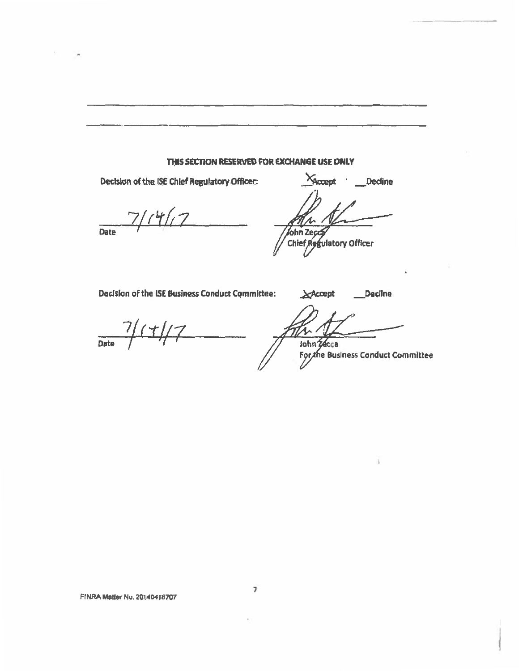### **THIS SECTION RESERVED FOR EXCHANGE USE ONLY**

**Date**   $7/14/17$ 

**Decision of the ISE Chief Regulatory Officer: Accept )** Decline  $\pi$ n $\sim$ fohn Zecca

Chief Regulatory Officer

Decision of the ISE Business Conduct Committee: **Accept** Decline

Date / 1+//7<br>Date / 1+//7<br>John 24cca

**For the Business Conduct Committee** 

**7**